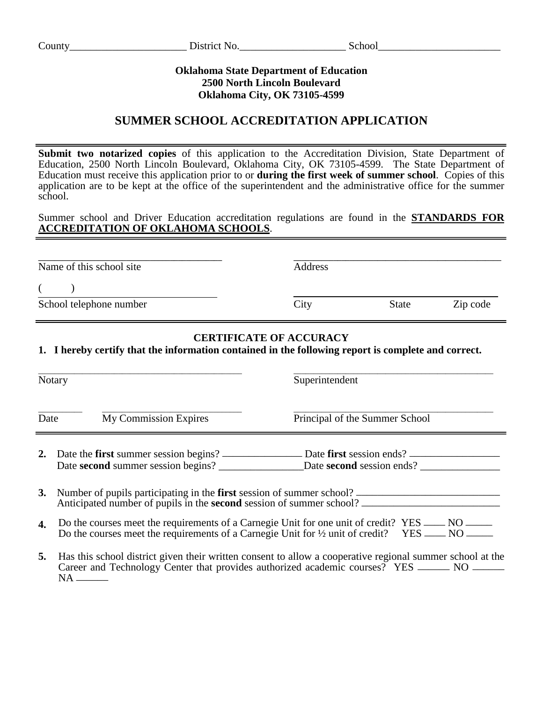### **Oklahoma State Department of Education 2500 North Lincoln Boulevard Oklahoma City, OK 73105-4599**

# **SUMMER SCHOOL ACCREDITATION APPLICATION**

**Submit two notarized copies** of this application to the Accreditation Division, State Department of Education, 2500 North Lincoln Boulevard, Oklahoma City, OK 73105-4599. The State Department of Education must receive this application prior to or **during the first week of summer school**. Copies of this application are to be kept at the office of the superintendent and the administrative office for the summer school.

Summer school and Driver Education accreditation regulations are found in the **STANDARDS FOR ACCREDITATION OF OKLAHOMA SCHOOLS**.

| Name of this school site | Address |              |          |
|--------------------------|---------|--------------|----------|
| School telephone number  | City    | <b>State</b> | Zip code |
|                          |         |              |          |

### **CERTIFICATE OF ACCURACY**

**1. I hereby certify that the information contained in the following report is complete and correct.**

| Notary       |                                                                                                                                                                                       | Superintendent                                                                                       |  |  |
|--------------|---------------------------------------------------------------------------------------------------------------------------------------------------------------------------------------|------------------------------------------------------------------------------------------------------|--|--|
| Date         | <b>My Commission Expires</b>                                                                                                                                                          | Principal of the Summer School                                                                       |  |  |
|              | Date second summer session begins?                                                                                                                                                    | Date <b>second</b> session ends?                                                                     |  |  |
|              | Anticipated number of pupils in the <b>second</b> session of summer school?                                                                                                           | 3. Number of pupils participating in the first session of summer school? ___________________________ |  |  |
| $\mathbf{4}$ | Do the courses meet the requirements of a Carnegie Unit for one unit of credit? YES ____<br>Do the courses meet the requirements of a Carnegie Unit for $\frac{1}{2}$ unit of credit? | NO.<br>$YES$ ____ NO _                                                                               |  |  |

**5.** Has this school district given their written consent to allow a cooperative regional summer school at the Career and Technology Center that provides authorized academic courses? YES \_\_\_\_\_\_ NO \_\_\_\_\_\_ NA \_\_\_\_\_\_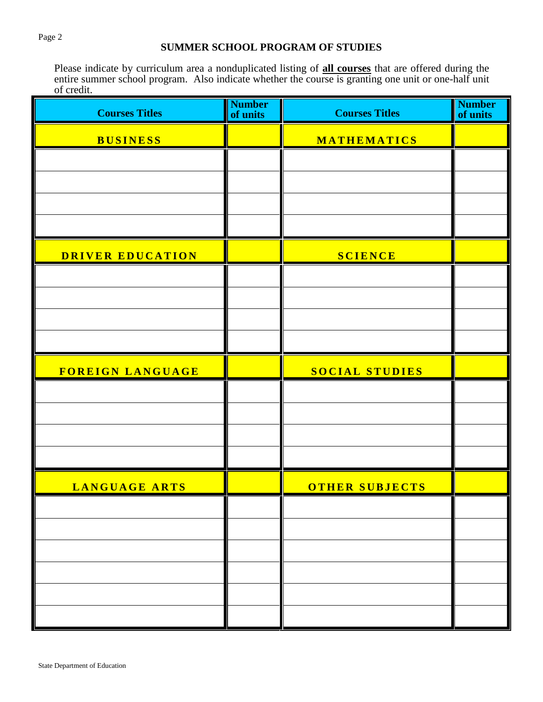## **SUMMER SCHOOL PROGRAM OF STUDIES**

Please indicate by curriculum area a nonduplicated listing of **all courses** that are offered during the entire summer school program. Also indicate whether the course is granting one unit or one-half unit of credit.

| <b>Courses Titles</b> | <b>Number</b><br>of units | <b>Courses Titles</b> | <b>Number</b><br>of units |
|-----------------------|---------------------------|-----------------------|---------------------------|
| <b>BUSINESS</b>       |                           | MATHEMATICS           |                           |
|                       |                           |                       |                           |
|                       |                           |                       |                           |
|                       |                           |                       |                           |
|                       |                           |                       |                           |
| DRIVER EDUCATION      |                           | <b>SCIENCE</b>        |                           |
|                       |                           |                       |                           |
|                       |                           |                       |                           |
|                       |                           |                       |                           |
| FOREIGN LANGUAGE      |                           | SOCIAL STUDIES        |                           |
|                       |                           |                       |                           |
|                       |                           |                       |                           |
|                       |                           |                       |                           |
|                       |                           |                       |                           |
| <b>LANGUAGE ARTS</b>  |                           | <b>OTHER SUBJECTS</b> |                           |
|                       |                           |                       |                           |
|                       |                           |                       |                           |
|                       |                           |                       |                           |
|                       |                           |                       |                           |
|                       |                           |                       |                           |